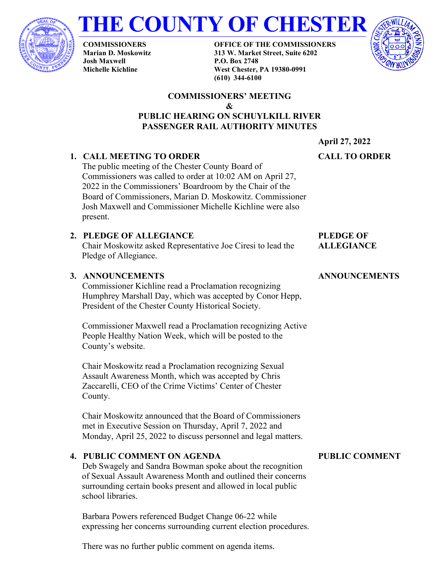



**COMMISSIONERS Marian D. Moskowitz Josh Maxwell Michelle Kichline**

**OFFICE OF THE COMMISSIONERS 313 W. Market Street, Suite 6202 P.O. Box 2748 West Chester, PA 19380-0991 (610) 344-6100**



#### **COMMISSIONERS' MEETING & PUBLIC HEARING ON SCHUYLKILL RIVER PASSENGER RAIL AUTHORITY MINUTES**

**April 27, 2022**

# **CALL TO ORDER**

The public meeting of the Chester County Board of Commissioners was called to order at 10:02 AM on April 27, 2022 in the Commissioners' Boardroom by the Chair of the Board of Commissioners, Marian D. Moskowitz. Commissioner Josh Maxwell and Commissioner Michelle Kichline were also present.

# **2. PLEDGE OF ALLEGIANCE**

**1. CALL MEETING TO ORDER**

Chair Moskowitz asked Representative Joe Ciresi to lead the Pledge of Allegiance.

# **3. ANNOUNCEMENTS**

Commissioner Kichline read a Proclamation recognizing Humphrey Marshall Day, which was accepted by Conor Hepp, President of the Chester County Historical Society.

Commissioner Maxwell read a Proclamation recognizing Active People Healthy Nation Week, which will be posted to the County's website.

Chair Moskowitz read a Proclamation recognizing Sexual Assault Awareness Month, which was accepted by Chris Zaccarelli, CEO of the Crime Victims' Center of Chester County.

Chair Moskowitz announced that the Board of Commissioners met in Executive Session on Thursday, April 7, 2022 and Monday, April 25, 2022 to discuss personnel and legal matters.

## **4. PUBLIC COMMENT ON AGENDA**

Deb Swagely and Sandra Bowman spoke about the recognition of Sexual Assault Awareness Month and outlined their concerns surrounding certain books present and allowed in local public school libraries.

Barbara Powers referenced Budget Change 06-22 while expressing her concerns surrounding current election procedures. **PUBLIC COMMENT**

# **PLEDGE OF**

# **ALLEGIANCE**

**ANNOUNCEMENTS**

There was no further public comment on agenda items.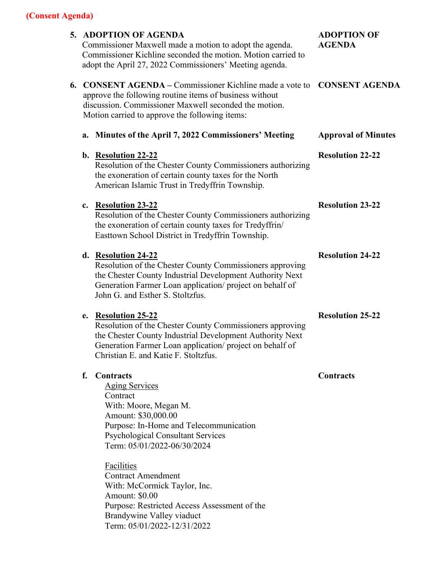|                                                                                                                                                                                                                                       | 5. ADOPTION OF AGENDA<br>Commissioner Maxwell made a motion to adopt the agenda.<br>Commissioner Kichline seconded the motion. Motion carried to<br>adopt the April 27, 2022 Commissioners' Meeting agenda.                                                                                                                                                                                                                         | <b>ADOPTION OF</b><br><b>AGENDA</b> |
|---------------------------------------------------------------------------------------------------------------------------------------------------------------------------------------------------------------------------------------|-------------------------------------------------------------------------------------------------------------------------------------------------------------------------------------------------------------------------------------------------------------------------------------------------------------------------------------------------------------------------------------------------------------------------------------|-------------------------------------|
| <b>6. CONSENT AGENDA – Commissioner Kichline made a vote to</b><br>approve the following routine items of business without<br>discussion. Commissioner Maxwell seconded the motion.<br>Motion carried to approve the following items: |                                                                                                                                                                                                                                                                                                                                                                                                                                     | <b>CONSENT AGENDA</b>               |
| a.                                                                                                                                                                                                                                    | Minutes of the April 7, 2022 Commissioners' Meeting                                                                                                                                                                                                                                                                                                                                                                                 | <b>Approval of Minutes</b>          |
|                                                                                                                                                                                                                                       | b. Resolution 22-22<br>Resolution of the Chester County Commissioners authorizing<br>the exoneration of certain county taxes for the North<br>American Islamic Trust in Tredyffrin Township.                                                                                                                                                                                                                                        | <b>Resolution 22-22</b>             |
| $c_{\cdot}$                                                                                                                                                                                                                           | <b>Resolution 23-22</b><br>Resolution of the Chester County Commissioners authorizing<br>the exoneration of certain county taxes for Tredyffrin/<br>Easttown School District in Tredyffrin Township.                                                                                                                                                                                                                                | <b>Resolution 23-22</b>             |
|                                                                                                                                                                                                                                       | d. Resolution 24-22<br>Resolution of the Chester County Commissioners approving<br>the Chester County Industrial Development Authority Next<br>Generation Farmer Loan application/project on behalf of<br>John G. and Esther S. Stoltzfus.                                                                                                                                                                                          | <b>Resolution 24-22</b>             |
| e.                                                                                                                                                                                                                                    | <b>Resolution 25-22</b><br>Resolution of the Chester County Commissioners approving<br>the Chester County Industrial Development Authority Next<br>Generation Farmer Loan application/project on behalf of<br>Christian E. and Katie F. Stoltzfus.                                                                                                                                                                                  | <b>Resolution 25-22</b>             |
| f.                                                                                                                                                                                                                                    | Contracts<br><b>Aging Services</b><br>Contract<br>With: Moore, Megan M.<br>Amount: \$30,000.00<br>Purpose: In-Home and Telecommunication<br><b>Psychological Consultant Services</b><br>Term: 05/01/2022-06/30/2024<br><b>Facilities</b><br><b>Contract Amendment</b><br>With: McCormick Taylor, Inc.<br>Amount: \$0.00<br>Purpose: Restricted Access Assessment of the<br>Brandywine Valley viaduct<br>Term: 05/01/2022-12/31/2022 | Contracts                           |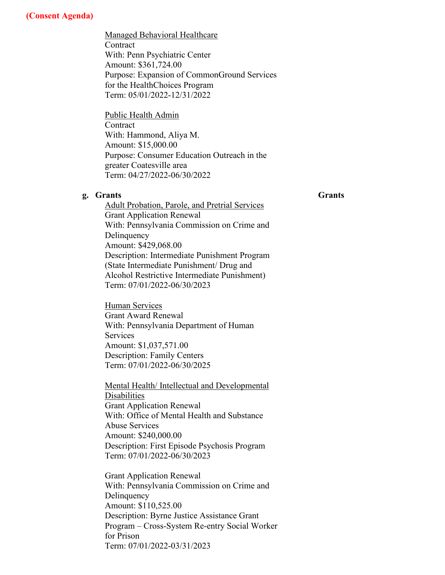Managed Behavioral Healthcare **Contract** With: Penn Psychiatric Center Amount: \$361,724.00 Purpose: Expansion of CommonGround Services for the HealthChoices Program Term: 05/01/2022-12/31/2022

Public Health Admin **Contract** With: Hammond, Aliya M. Amount: \$15,000.00 Purpose: Consumer Education Outreach in the greater Coatesville area Term: 04/27/2022-06/30/2022

### **g. Grants**

**Grants**

Adult Probation, Parole, and Pretrial Services Grant Application Renewal With: Pennsylvania Commission on Crime and Delinquency Amount: \$429,068.00 Description: Intermediate Punishment Program (State Intermediate Punishment/ Drug and Alcohol Restrictive Intermediate Punishment) Term: 07/01/2022-06/30/2023

Human Services Grant Award Renewal With: Pennsylvania Department of Human Services Amount: \$1,037,571.00 Description: Family Centers Term: 07/01/2022-06/30/2025

Mental Health/ Intellectual and Developmental Disabilities Grant Application Renewal With: Office of Mental Health and Substance Abuse Services Amount: \$240,000.00 Description: First Episode Psychosis Program Term: 07/01/2022-06/30/2023

Grant Application Renewal With: Pennsylvania Commission on Crime and Delinquency Amount: \$110,525.00 Description: Byrne Justice Assistance Grant Program – Cross-System Re-entry Social Worker for Prison Term: 07/01/2022-03/31/2023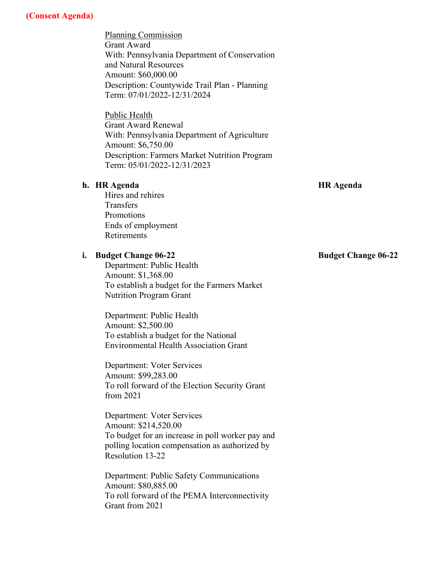Planning Commission Grant Award With: Pennsylvania Department of Conservation and Natural Resources Amount: \$60,000.00 Description: Countywide Trail Plan - Planning Term: 07/01/2022-12/31/2024

Public Health Grant Award Renewal With: Pennsylvania Department of Agriculture Amount: \$6,750.00 Description: Farmers Market Nutrition Program Term: 05/01/2022-12/31/2023

#### **h. HR Agenda**

**HR Agenda**

Hires and rehires **Transfers** Promotions Ends of employment Retirements

#### **i. Budget Change 06-22**

Department: Public Health Amount: \$1,368.00 To establish a budget for the Farmers Market Nutrition Program Grant

Department: Public Health Amount: \$2,500.00 To establish a budget for the National Environmental Health Association Grant

Department: Voter Services Amount: \$99,283.00 To roll forward of the Election Security Grant from 2021

Department: Voter Services Amount: \$214,520.00 To budget for an increase in poll worker pay and polling location compensation as authorized by Resolution 13-22

Department: Public Safety Communications Amount: \$80,885.00 To roll forward of the PEMA Interconnectivity Grant from 2021

#### **Budget Change 06-22**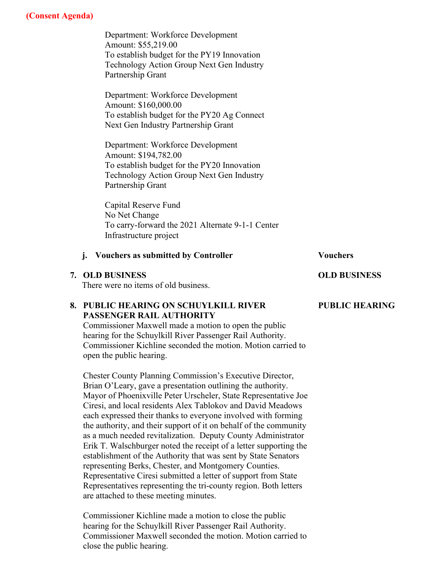Department: Workforce Development Amount: \$55,219.00 To establish budget for the PY19 Innovation Technology Action Group Next Gen Industry Partnership Grant

Department: Workforce Development Amount: \$160,000.00 To establish budget for the PY20 Ag Connect Next Gen Industry Partnership Grant

Department: Workforce Development Amount: \$194,782.00 To establish budget for the PY20 Innovation Technology Action Group Next Gen Industry Partnership Grant

Capital Reserve Fund No Net Change To carry-forward the 2021 Alternate 9-1-1 Center Infrastructure project

# **j.** Vouchers as submitted by Controller **Vouchers**

#### **7. OLD BUSINESS**

There were no items of old business.

### **8. PUBLIC HEARING ON SCHUYLKILL RIVER PASSENGER RAIL AUTHORITY**

Commissioner Maxwell made a motion to open the public hearing for the Schuylkill River Passenger Rail Authority. Commissioner Kichline seconded the motion. Motion carried to open the public hearing.

Chester County Planning Commission's Executive Director, Brian O'Leary, gave a presentation outlining the authority. Mayor of Phoenixville Peter Urscheler, State Representative Joe Ciresi, and local residents Alex Tablokov and David Meadows each expressed their thanks to everyone involved with forming the authority, and their support of it on behalf of the community as a much needed revitalization. Deputy County Administrator Erik T. Walschburger noted the receipt of a letter supporting the establishment of the Authority that was sent by State Senators representing Berks, Chester, and Montgomery Counties. Representative Ciresi submitted a letter of support from State Representatives representing the tri-county region. Both letters are attached to these meeting minutes.

Commissioner Kichline made a motion to close the public hearing for the Schuylkill River Passenger Rail Authority. Commissioner Maxwell seconded the motion. Motion carried to close the public hearing.

**OLD BUSINESS**

# **PUBLIC HEARING**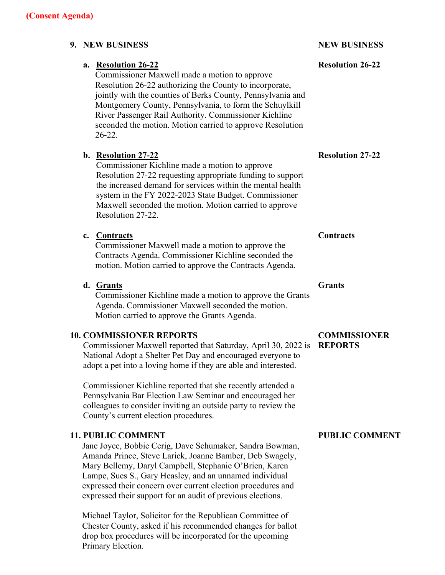| 9. NEW BUSINESS                                                                                                                                                                                                                                                                                                                                                                             |                                                                                                                                                                                                                                                                                                                                           | <b>NEW BUSINESS</b><br><b>Resolution 26-22</b> |
|---------------------------------------------------------------------------------------------------------------------------------------------------------------------------------------------------------------------------------------------------------------------------------------------------------------------------------------------------------------------------------------------|-------------------------------------------------------------------------------------------------------------------------------------------------------------------------------------------------------------------------------------------------------------------------------------------------------------------------------------------|------------------------------------------------|
| a. Resolution 26-22<br>Commissioner Maxwell made a motion to approve<br>Resolution 26-22 authorizing the County to incorporate,<br>jointly with the counties of Berks County, Pennsylvania and<br>Montgomery County, Pennsylvania, to form the Schuylkill<br>River Passenger Rail Authority. Commissioner Kichline<br>seconded the motion. Motion carried to approve Resolution<br>$26-22.$ |                                                                                                                                                                                                                                                                                                                                           |                                                |
|                                                                                                                                                                                                                                                                                                                                                                                             | b. Resolution 27-22<br>Commissioner Kichline made a motion to approve<br>Resolution 27-22 requesting appropriate funding to support<br>the increased demand for services within the mental health<br>system in the FY 2022-2023 State Budget. Commissioner<br>Maxwell seconded the motion. Motion carried to approve<br>Resolution 27-22. | <b>Resolution 27-22</b>                        |
|                                                                                                                                                                                                                                                                                                                                                                                             | c. Contracts<br>Commissioner Maxwell made a motion to approve the<br>Contracts Agenda. Commissioner Kichline seconded the<br>motion. Motion carried to approve the Contracts Agenda.                                                                                                                                                      | <b>Contracts</b>                               |
|                                                                                                                                                                                                                                                                                                                                                                                             | d. Grants<br>Commissioner Kichline made a motion to approve the Grants<br>Agenda. Commissioner Maxwell seconded the motion.<br>Motion carried to approve the Grants Agenda.                                                                                                                                                               | <b>Grants</b>                                  |
|                                                                                                                                                                                                                                                                                                                                                                                             | <b>10. COMMISSIONER REPORTS</b><br>Commissioner Maxwell reported that Saturday, April 30, 2022 is<br>National Adopt a Shelter Pet Day and encouraged everyone to<br>adopt a pet into a loving home if they are able and interested.                                                                                                       | <b>COMMISSIONER</b><br><b>REPORTS</b>          |
|                                                                                                                                                                                                                                                                                                                                                                                             | Commissioner Kichline reported that she recently attended a<br>Pennsylvania Bar Election Law Seminar and encouraged her<br>colleagues to consider inviting an outside party to review the<br>County's current election procedures.                                                                                                        |                                                |
|                                                                                                                                                                                                                                                                                                                                                                                             | <b>11. PUBLIC COMMENT</b><br>Jane Joyce, Bobbie Cerig, Dave Schumaker, Sandra Bowman,<br>Amanda Prince, Steve Larick, Joanne Bamber, Deb Swagely,                                                                                                                                                                                         | <b>PUBLIC COMMENT</b>                          |

Mary Bellemy, Daryl Campbell, Stephanie O'Brien, Karen Lampe, Sues S., Gary Heasley, and an unnamed individual expressed their concern over current election procedures and expressed their support for an audit of previous elections.

Michael Taylor, Solicitor for the Republican Committee of Chester County, asked if his recommended changes for ballot drop box procedures will be incorporated for the upcoming

Primary Election.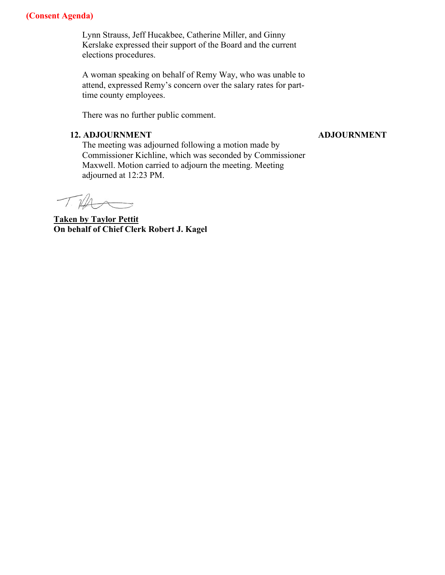Lynn Strauss, Jeff Hucakbee, Catherine Miller, and Ginny Kerslake expressed their support of the Board and the current elections procedures.

A woman speaking on behalf of Remy Way, who was unable to attend, expressed Remy's concern over the salary rates for parttime county employees.

There was no further public comment.

#### **12. ADJOURNMENT**

#### **ADJOURNMENT**

The meeting was adjourned following a motion made by Commissioner Kichline, which was seconded by Commissioner Maxwell. Motion carried to adjourn the meeting. Meeting adjourned at 12:23 PM.

Tilla

**Taken by Taylor Pettit On behalf of Chief Clerk Robert J. Kagel**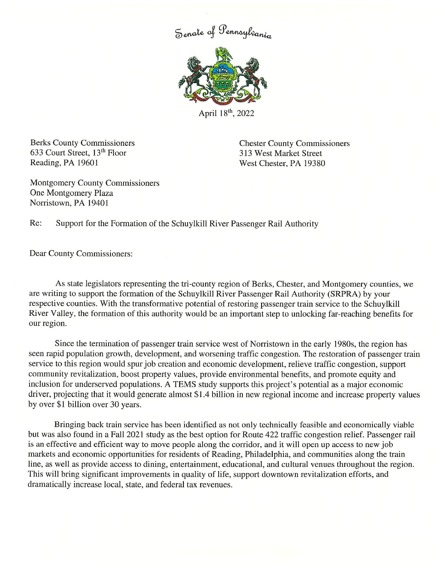Senate of Pennsylvania



April 18th, 2022

**Berks County Commissioners** 633 Court Street, 13th Floor Reading, PA 19601

**Chester County Commissioners** 313 West Market Street West Chester, PA 19380

**Montgomery County Commissioners** One Montgomery Plaza Norristown, PA 19401

Re: Support for the Formation of the Schuylkill River Passenger Rail Authority

Dear County Commissioners:

As state legislators representing the tri-county region of Berks, Chester, and Montgomery counties, we are writing to support the formation of the Schuylkill River Passenger Rail Authority (SRPRA) by your respective counties. With the transformative potential of restoring passenger train service to the Schuylkill River Valley, the formation of this authority would be an important step to unlocking far-reaching benefits for our region.

Since the termination of passenger train service west of Norristown in the early 1980s, the region has seen rapid population growth, development, and worsening traffic congestion. The restoration of passenger train service to this region would spur job creation and economic development, relieve traffic congestion, support community revitalization, boost property values, provide environmental benefits, and promote equity and inclusion for underserved populations. A TEMS study supports this project's potential as a major economic driver, projecting that it would generate almost \$1.4 billion in new regional income and increase property values by over \$1 billion over 30 years.

Bringing back train service has been identified as not only technically feasible and economically viable but was also found in a Fall 2021 study as the best option for Route 422 traffic congestion relief. Passenger rail is an effective and efficient way to move people along the corridor, and it will open up access to new job markets and economic opportunities for residents of Reading, Philadelphia, and communities along the train line, as well as provide access to dining, entertainment, educational, and cultural venues throughout the region. This will bring significant improvements in quality of life, support downtown revitalization efforts, and dramatically increase local, state, and federal tax revenues.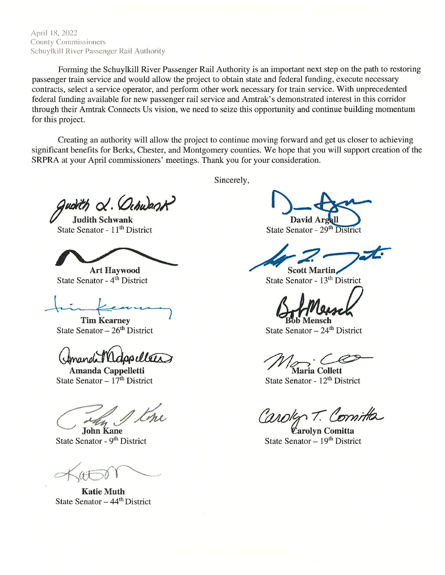April 18, 2022 **County Commissioners** Schuylkill River Passenger Rail Authority

Forming the Schuylkill River Passenger Rail Authority is an important next step on the path to restoring passenger train service and would allow the project to obtain state and federal funding, execute necessary contracts, select a service operator, and perform other work necessary for train service. With unprecedented federal funding available for new passenger rail service and Amtrak's demonstrated interest in this corridor through their Amtrak Connects Us vision, we need to seize this opportunity and continue building momentum for this project.

Creating an authority will allow the project to continue moving forward and get us closer to achieving significant benefits for Berks, Chester, and Montgomery counties. We hope that you will support creation of the SRPRA at your April commissioners' meetings. Thank you for your consideration.

Sincerely,

udith &. Ochwant

**Judith Schwank** State Senator - 11<sup>th</sup> District

**Art Haywood** State Senator - 4<sup>th</sup> District

**Tim Kearney** State Senator  $-26<sup>th</sup>$  District

dopullers

Amanda Cappelletti State Senator -  $17<sup>th</sup>$  District

**John Kane** 

State Senator - 9<sup>th</sup> District

**Katie Muth** State Senator  $-44<sup>th</sup>$  District

David A

State Senator - 29<sup>th</sup> District

**Scott Martin** State Senator - 13<sup>th</sup> District

h Mensch

State Senator  $-24$ <sup>th</sup> District

Maria Collett

State Senator - 12<sup>th</sup> District

T. Comitta

Carolyn Comitta State Senator  $-19<sup>th</sup>$  District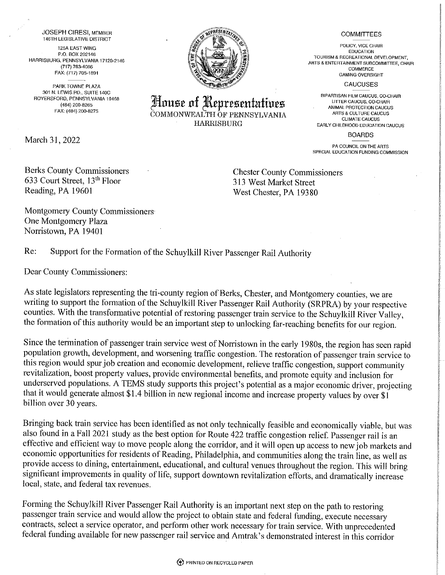**JOSEPH CIRESI, MEMBER 146TH LEGISLATIVE DISTRICT** 125A EAST WING P.O. BOX 202146 HARRISBURG, PENNSYLVANIA 17120-2146 (717) 783-4086 FAX: (717) 705-1891

PARK TOWNE PLAZA 301 N. LEWIS RD., SUITE 140C ROYERSFORD, PENNSYLVANIA 19468 (484) 200-8265 FAX: (484) 200-8275

March 31, 2022

**Berks County Commissioners** 633 Court Street, 13th Floor Reading, PA 19601

**Chester County Commissioners** 313 West Market Street West Chester, PA 19380

Montgomery County Commissioners One Montgomery Plaza Norristown, PA 19401

Re: Support for the Formation of the Schuylkill River Passenger Rail Authority

Dear County Commissioners:

As state legislators representing the tri-county region of Berks, Chester, and Montgomery counties, we are writing to support the formation of the Schuylkill River Passenger Rail Authority (SRPRA) by your respective counties. With the transformative potential of restoring passenger train service to the Schuylkill River Valley, the formation of this authority would be an important step to unlocking far-reaching benefits for our region.

Since the termination of passenger train service west of Norristown in the early 1980s, the region has seen rapid population growth, development, and worsening traffic congestion. The restoration of passenger train service to this region would spur job creation and economic development, relieve traffic congestion, support community revitalization, boost property values, provide environmental benefits, and promote equity and inclusion for underserved populations. A TEMS study supports this project's potential as a major economic driver, projecting that it would generate almost \$1.4 billion in new regional income and increase property values by over \$1 billion over 30 years.

Bringing back train service has been identified as not only technically feasible and economically viable, but was also found in a Fall 2021 study as the best option for Route 422 traffic congestion relief. Passenger rail is an effective and efficient way to move people along the corridor, and it will open up access to new job markets and economic opportunities for residents of Reading, Philadelphia, and communities along the train line, as well as provide access to dining, entertainment, educational, and cultural venues throughout the region. This will bring significant improvements in quality of life, support downtown revitalization efforts, and dramatically increase local, state, and federal tax revenues.

Forming the Schuylkill River Passenger Rail Authority is an important next step on the path to restoring passenger train service and would allow the project to obtain state and federal funding, execute necessary contracts, select a service operator, and perform other work necessary for train service. With unprecedented federal funding available for new passenger rail service and Amtrak's demonstrated interest in this corridor



House of Representatives

COMMONWEALTH OF PENNSYLVANIA

**HARRISBURG** 

#### **COMMITTEES**

POLICY, VICE CHAIR **EDUCATION** TOURISM & RECREATIONAL DEVELOPMENT. ARTS & ENTERTAINMENT SUBCOMMITTEE, CHAIR COMMERCE **GAMING OVERSIGHT** 

**CAUCUSES** 

BIPARTISAN FILM CAUCUS, CO-CHAIR LITTER CAUCUS, CO-CHAIR ANIMAL PROTECTION CAUCUS ARTS & CULTURE CAUCUS **CLIMATE CAUCUS** EARLY CHILDHOOD EDUCATION CAUCUS

**BOARDS** 

PA COUNCIL ON THE ARTS SPECIAL EDUCATION FUNDING COMMISSION